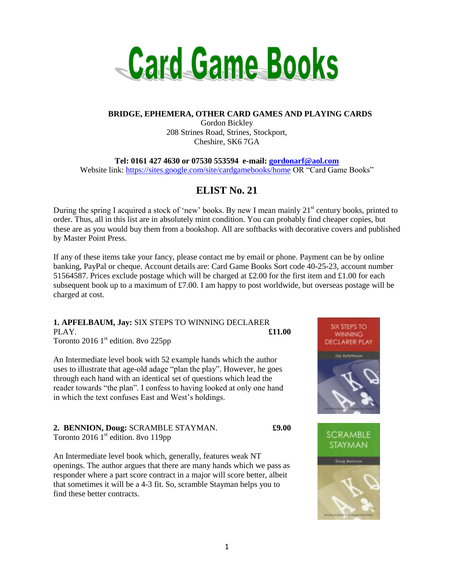

### **BRIDGE, EPHEMERA, OTHER CARD GAMES AND PLAYING CARDS**

Gordon Bickley 208 Strines Road, Strines, Stockport, Cheshire, SK6 7GA

**Tel: 0161 427 4630 or 07530 553594 e-mail: [gordonarf@aol.com](mailto:gordonarf@aol.com)** Website link:<https://sites.google.com/site/cardgamebooks/home> OR "Card Game Books"

# **ELIST No. 21**

During the spring I acquired a stock of 'new' books. By new I mean mainly  $21<sup>st</sup>$  century books, printed to order. Thus, all in this list are in absolutely mint condition. You can probably find cheaper copies, but these are as you would buy them from a bookshop. All are softbacks with decorative covers and published by Master Point Press.

If any of these items take your fancy, please contact me by email or phone. Payment can be by online banking, PayPal or cheque. Account details are: Card Game Books Sort code 40-25-23, account number 51564587. Prices exclude postage which will be charged at £2.00 for the first item and £1.00 for each subsequent book up to a maximum of £7.00. I am happy to post worldwide, but overseas postage will be charged at cost.

# **1. APFELBAUM, Jay:** SIX STEPS TO WINNING DECLARER PLAY. **£11.00**

Toronto 2016  $1<sup>st</sup>$  edition. 8vo 225pp

An Intermediate level book with 52 example hands which the author uses to illustrate that age-old adage "plan the play". However, he goes through each hand with an identical set of questions which lead the reader towards "the plan". I confess to having looked at only one hand in which the text confuses East and West's holdings.

### **2. BENNION, Doug:** SCRAMBLE STAYMAN. **£9.00** Toronto 2016  $1<sup>st</sup>$  edition. 8vo 119pp

An Intermediate level book which, generally, features weak NT openings. The author argues that there are many hands which we pass as responder where a part score contract in a major will score better, albeit that sometimes it will be a 4-3 fit. So, scramble Stayman helps you to find these better contracts.



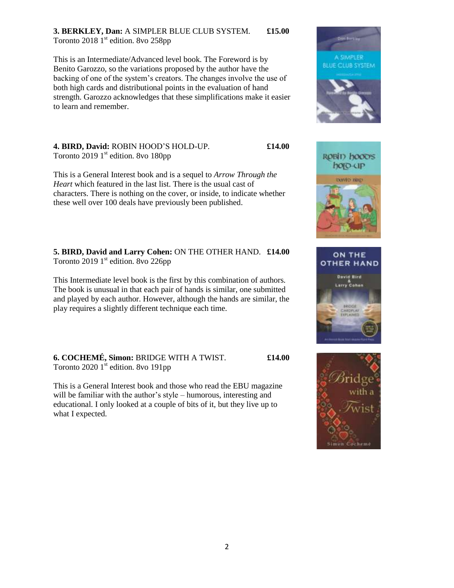## **3. BERKLEY, Dan:** A SIMPLER BLUE CLUB SYSTEM. **£15.00** Toronto 2018  $1<sup>st</sup>$  edition. 8vo 258pp

This is an Intermediate/Advanced level book. The Foreword is by Benito Garozzo, so the variations proposed by the author have the backing of one of the system's creators. The changes involve the use of both high cards and distributional points in the evaluation of hand strength. Garozzo acknowledges that these simplifications make it easier to learn and remember.

**4. BIRD, David:** ROBIN HOOD'S HOLD-UP. **£14.00** Toronto 2019  $1<sup>st</sup>$  edition. 8vo 180pp

This is a General Interest book and is a sequel to *Arrow Through the Heart* which featured in the last list. There is the usual cast of characters. There is nothing on the cover, or inside, to indicate whether these well over 100 deals have previously been published.

**5. BIRD, David and Larry Cohen:** ON THE OTHER HAND. **£14.00** Toronto 2019  $1<sup>st</sup>$  edition. 8vo 226pp

This Intermediate level book is the first by this combination of authors. The book is unusual in that each pair of hands is similar, one submitted and played by each author. However, although the hands are similar, the play requires a slightly different technique each time.

**6. COCHEMÉ, Simon:** BRIDGE WITH A TWIST. **£14.00** Toronto 2020  $1<sup>st</sup>$  edition. 8vo 191pp

This is a General Interest book and those who read the EBU magazine will be familiar with the author's style – humorous, interesting and educational. I only looked at a couple of bits of it, but they live up to what I expected.







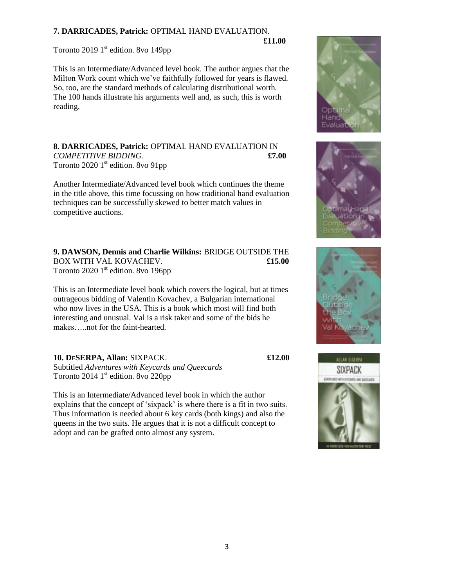## **7. DARRICADES, Patrick:** OPTIMAL HAND EVALUATION.

 **£11.00** Toronto 2019  $1<sup>st</sup>$  edition. 8vo 149pp

This is an Intermediate/Advanced level book. The author argues that the Milton Work count which we've faithfully followed for years is flawed. So, too, are the standard methods of calculating distributional worth. The 100 hands illustrate his arguments well and, as such, this is worth reading.

### **8. DARRICADES, Patrick:** OPTIMAL HAND EVALUATION IN *COMPETITIVE BIDDING.* **£7.00** Toronto 2020 1<sup>st</sup> edition. 8vo 91pp

Another Intermediate/Advanced level book which continues the theme in the title above, this time focussing on how traditional hand evaluation techniques can be successfully skewed to better match values in competitive auctions.

**9. DAWSON, Dennis and Charlie Wilkins:** BRIDGE OUTSIDE THE BOX WITH VAL KOVACHEV. **£15.00** Toronto 2020  $1<sup>st</sup>$  edition. 8vo 196pp

This is an Intermediate level book which covers the logical, but at times outrageous bidding of Valentin Kovachev, a Bulgarian international who now lives in the USA. This is a book which most will find both interesting and unusual. Val is a risk taker and some of the bids he makes…..not for the faint-hearted.

# **10. DESERPA, Allan:** SIXPACK. **£12.00**

Subtitled *Adventures with Keycards and Queecards* Toronto 2014  $1<sup>st</sup>$  edition. 8vo 220pp

This is an Intermediate/Advanced level book in which the author explains that the concept of 'sixpack' is where there is a fit in two suits. Thus information is needed about 6 key cards (both kings) and also the queens in the two suits. He argues that it is not a difficult concept to adopt and can be grafted onto almost any system.







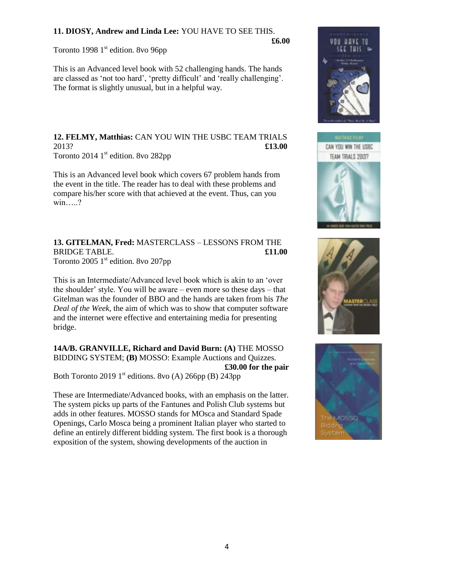# **11. DIOSY, Andrew and Linda Lee:** YOU HAVE TO SEE THIS.

Toronto 1998  $1<sup>st</sup>$  edition. 8vo 96pp

**£6.00**

This is an Advanced level book with 52 challenging hands. The hands are classed as 'not too hard', 'pretty difficult' and 'really challenging'. The format is slightly unusual, but in a helpful way.

**12. FELMY, Matthias:** CAN YOU WIN THE USBC TEAM TRIALS 2013? **£13.00** Toronto 2014  $1<sup>st</sup>$  edition. 8vo 282pp

This is an Advanced level book which covers 67 problem hands from the event in the title. The reader has to deal with these problems and compare his/her score with that achieved at the event. Thus, can you win.....?

## **13. GITELMAN, Fred:** MASTERCLASS – LESSONS FROM THE BRIDGE TABLE. **£11.00** Toronto 2005  $1<sup>st</sup>$  edition. 8vo 207pp

This is an Intermediate/Advanced level book which is akin to an 'over the shoulder' style. You will be aware – even more so these days – that Gitelman was the founder of BBO and the hands are taken from his *The Deal of the Week,* the aim of which was to show that computer software and the internet were effective and entertaining media for presenting bridge.

**14A/B. GRANVILLE, Richard and David Burn: (A)** THE MOSSO BIDDING SYSTEM; **(B)** MOSSO: Example Auctions and Quizzes. **£30.00 for the pair** Both Toronto 2019 1<sup>st</sup> editions. 8vo (A) 266pp (B) 243pp

These are Intermediate/Advanced books, with an emphasis on the latter. The system picks up parts of the Fantunes and Polish Club systems but adds in other features. MOSSO stands for MOsca and Standard Spade Openings, Carlo Mosca being a prominent Italian player who started to define an entirely different bidding system. The first book is a thorough exposition of the system, showing developments of the auction in







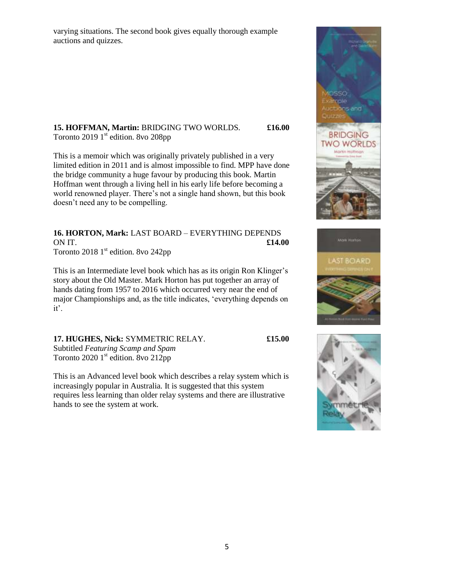varying situations. The second book gives equally thorough example auctions and quizzes.

## **15. HOFFMAN, Martin:** BRIDGING TWO WORLDS. **£16.00** Toronto 2019  $1<sup>st</sup>$  edition. 8vo 208pp

This is a memoir which was originally privately published in a very limited edition in 2011 and is almost impossible to find. MPP have done the bridge community a huge favour by producing this book. Martin Hoffman went through a living hell in his early life before becoming a world renowned player. There's not a single hand shown, but this book doesn't need any to be compelling.

### **16. HORTON, Mark:** LAST BOARD – EVERYTHING DEPENDS ON IT. **£14.00** Toronto 2018  $1<sup>st</sup>$  edition. 8vo 242pp

This is an Intermediate level book which has as its origin Ron Klinger's

story about the Old Master. Mark Horton has put together an array of hands dating from 1957 to 2016 which occurred very near the end of major Championships and, as the title indicates, 'everything depends on it'.

**17. HUGHES, Nick:** SYMMETRIC RELAY. **£15.00** Subtitled *Featuring Scamp and Spam* Toronto 2020  $1<sup>st</sup>$  edition. 8vo 212pp

This is an Advanced level book which describes a relay system which is increasingly popular in Australia. It is suggested that this system requires less learning than older relay systems and there are illustrative hands to see the system at work.





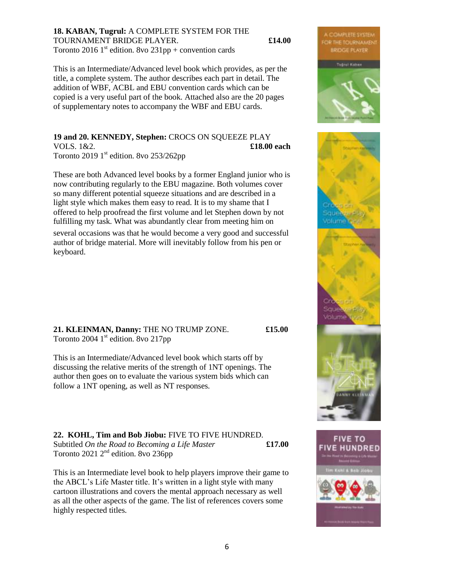#### **18. KABAN, Tugrul:** A COMPLETE SYSTEM FOR THE TOURNAMENT BRIDGE PLAYER. **£14.00** Toronto 2016 1<sup>st</sup> edition. 8vo 231pp + convention cards

This is an Intermediate/Advanced level book which provides, as per the title, a complete system. The author describes each part in detail. The addition of WBF, ACBL and EBU convention cards which can be copied is a very useful part of the book. Attached also are the 20 pages of supplementary notes to accompany the WBF and EBU cards.

#### **19 and 20. KENNEDY, Stephen:** CROCS ON SQUEEZE PLAY VOLS. 1&2. **£18.00 each** Toronto 2019  $1<sup>st</sup>$  edition. 8vo 253/262pp

These are both Advanced level books by a former England junior who is now contributing regularly to the EBU magazine. Both volumes cover so many different potential squeeze situations and are described in a light style which makes them easy to read. It is to my shame that I offered to help proofread the first volume and let Stephen down by not fulfilling my task. What was abundantly clear from meeting him on

several occasions was that he would become a very good and successful author of bridge material. More will inevitably follow from his pen or keyboard.

**21. KLEINMAN, Danny:** THE NO TRUMP ZONE. **£15.00** Toronto 2004  $1<sup>st</sup>$  edition. 8vo 217pp

This is an Intermediate/Advanced level book which starts off by discussing the relative merits of the strength of 1NT openings. The author then goes on to evaluate the various system bids which can follow a 1NT opening, as well as NT responses.

**22. KOHL, Tim and Bob Jiobu:** FIVE TO FIVE HUNDRED. Subtitled *On the Road to Becoming a Life Master* **£17.00** Toronto 2021  $2<sup>nd</sup>$  edition. 8vo 236pp

This is an Intermediate level book to help players improve their game to the ABCL's Life Master title. It's written in a light style with many cartoon illustrations and covers the mental approach necessary as well as all the other aspects of the game. The list of references covers some highly respected titles.



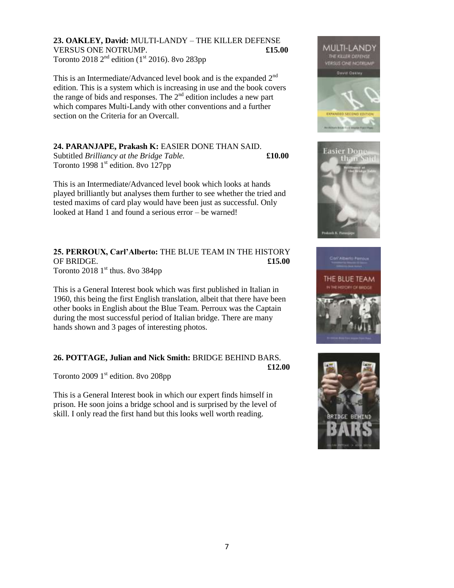**23. OAKLEY, David:** MULTI-LANDY – THE KILLER DEFENSE VERSUS ONE NOTRUMP. **£15.00** Toronto 2018  $2<sup>nd</sup>$  edition (1<sup>st</sup> 2016). 8vo 283pp

This is an Intermediate/Advanced level book and is the expanded 2<sup>nd</sup> edition. This is a system which is increasing in use and the book covers the range of bids and responses. The  $2<sup>nd</sup>$  edition includes a new part which compares Multi-Landy with other conventions and a further section on the Criteria for an Overcall.

# **24. PARANJAPE, Prakash K:** EASIER DONE THAN SAID.

Subtitled *Brilliancy at the Bridge Table.* **£10.00** Toronto 1998  $1<sup>st</sup>$  edition. 8vo 127pp

This is an Intermediate/Advanced level book which looks at hands played brilliantly but analyses them further to see whether the tried and tested maxims of card play would have been just as successful. Only looked at Hand 1 and found a serious error – be warned!

**25. PERROUX, Carl'Alberto:** THE BLUE TEAM IN THE HISTORY OF BRIDGE. **£15.00** Toronto 2018  $1<sup>st</sup>$  thus. 8vo 384pp

This is a General Interest book which was first published in Italian in 1960, this being the first English translation, albeit that there have been other books in English about the Blue Team. Perroux was the Captain during the most successful period of Italian bridge. There are many hands shown and 3 pages of interesting photos.

### **26. POTTAGE, Julian and Nick Smith:** BRIDGE BEHIND BARS.

**£12.00**

Toronto 2009  $1<sup>st</sup>$  edition. 8vo 208pp

This is a General Interest book in which our expert finds himself in prison. He soon joins a bridge school and is surprised by the level of skill. I only read the first hand but this looks well worth reading.







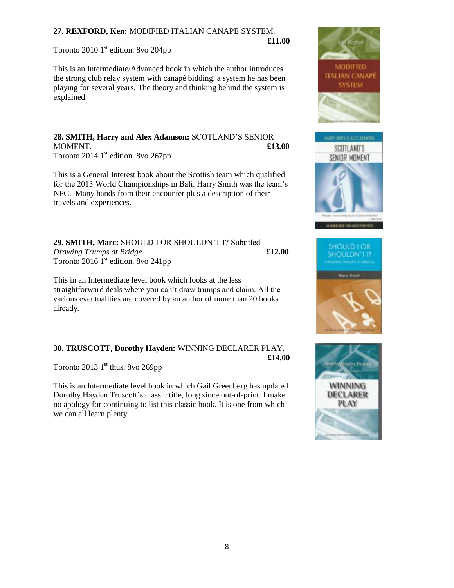# **27. REXFORD, Ken:** MODIFIED ITALIAN CANAPÉ SYSTEM. **£11.00**

Toronto 2010  $1<sup>st</sup>$  edition. 8vo 204pp

This is an Intermediate/Advanced book in which the author introduces the strong club relay system with canapé bidding, a system he has been playing for several years. The theory and thinking behind the system is explained.

**28. SMITH, Harry and Alex Adamson:** SCOTLAND'S SENIOR MOMENT. **£13.00** Toronto 2014  $1<sup>st</sup>$  edition. 8vo 267pp

This is a General Interest book about the Scottish team which qualified for the 2013 World Championships in Bali. Harry Smith was the team's NPC. Many hands from their encounter plus a description of their travels and experiences.

**29. SMITH, Marc:** SHOULD I OR SHOULDN'T I? Subtitled *Drawing Trumps at Bridge* **£12.00** Toronto 2016  $1<sup>st</sup>$  edition. 8vo 241pp

This in an Intermediate level book which looks at the less straightforward deals where you can't draw trumps and claim. All the various eventualities are covered by an author of more than 20 books already.

# **30. TRUSCOTT, Dorothy Hayden:** WINNING DECLARER PLAY. **£14.00**

Toronto 2013  $1<sup>st</sup>$  thus. 8vo 269pp

This is an Intermediate level book in which Gail Greenberg has updated Dorothy Hayden Truscott's classic title, long since out-of-print. I make no apology for continuing to list this classic book. It is one from which we can all learn plenty.